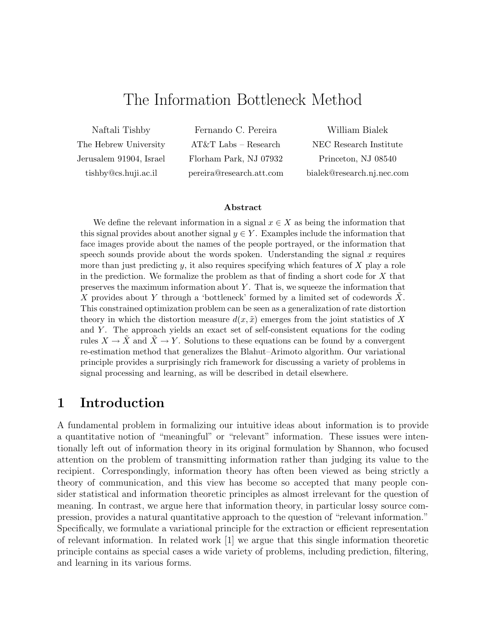# The Information Bottleneck Method

Naftali Tishby The Hebrew University Jerusalem 91904, Israel tishby@cs.huji.ac.il

Fernando C. Pereira AT&T Labs – Research Florham Park, NJ 07932 pereira@research.att.com

William Bialek NEC Research Institute Princeton, NJ 08540 bialek@research.nj.nec.com

#### **Abstract**

We define the relevant information in a signal  $x \in X$  as being the information that this signal provides about another signal  $y \in Y$ . Examples include the information that face images provide about the names of the people portrayed, or the information that speech sounds provide about the words spoken. Understanding the signal  $x$  requires more than just predicting  $y$ , it also requires specifying which features of  $X$  play a role in the prediction. We formalize the problem as that of finding a short code for  $X$  that preserves the maximum information about  $Y$ . That is, we squeeze the information that X provides about Y through a 'bottleneck' formed by a limited set of codewords  $X$ . This constrained optimization problem can be seen as a generalization of rate distortion theory in which the distortion measure  $d(x, \tilde{x})$  emerges from the joint statistics of X and  $Y$ . The approach yields an exact set of self-consistent equations for the coding rules  $X \to \tilde{X}$  and  $\tilde{X} \to Y$ . Solutions to these equations can be found by a convergent re-estimation method that generalizes the Blahut–Arimoto algorithm. Our variational principle provides a surprisingly rich framework for discussing a variety of problems in signal processing and learning, as will be described in detail elsewhere.

## **1 Introduction**

A fundamental problem in formalizing our intuitive ideas about information is to provide a quantitative notion of "meaningful" or "relevant" information. These issues were intentionally left out of information theory in its original formulation by Shannon, who focused attention on the problem of transmitting information rather than judging its value to the recipient. Correspondingly, information theory has often been viewed as being strictly a theory of communication, and this view has become so accepted that many people consider statistical and information theoretic principles as almost irrelevant for the question of meaning. In contrast, we argue here that information theory, in particular lossy source compression, provides a natural quantitative approach to the question of "relevant information." Specifically, we formulate a variational principle for the extraction or efficient representation of relevant information. In related work [1] we argue that this single information theoretic principle contains as special cases a wide variety of problems, including prediction, filtering, and learning in its various forms.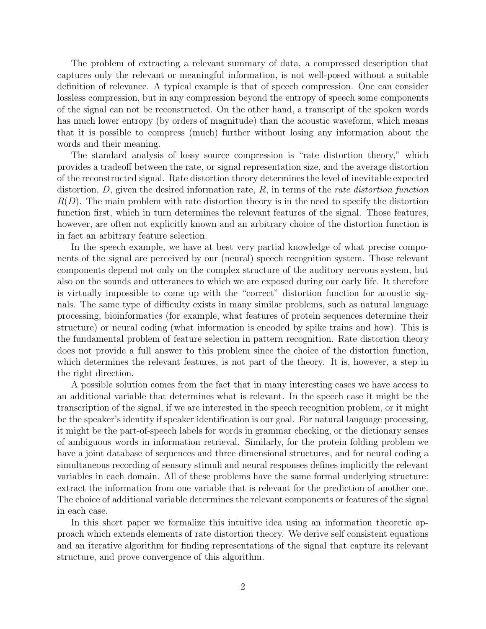The problem of extracting a relevant summary of data, a compressed description that captures only the relevant or meaningful information, is not well-posed without a suitable definition of relevance. A typical example is that of speech compression. One can consider lossless compression, but in any compression beyond the entropy of speech some components of the signal can not be reconstructed. On the other hand, a transcript of the spoken words has much lower entropy (by orders of magnitude) than the acoustic waveform, which means that it is possible to compress (much) further without losing any information about the words and their meaning.

The standard analysis of lossy source compression is "rate distortion theory," which provides a tradeoff between the rate, or signal representation size, and the average distortion of the reconstructed signal. Rate distortion theory determines the level of inevitable expected distortion,  $D$ , given the desired information rate,  $R$ , in terms of the *rate distortion function*  $R(D)$ . The main problem with rate distortion theory is in the need to specify the distortion function first, which in turn determines the relevant features of the signal. Those features, however, are often not explicitly known and an arbitrary choice of the distortion function is in fact an arbitrary feature selection.

In the speech example, we have at best very partial knowledge of what precise components of the signal are perceived by our (neural) speech recognition system. Those relevant components depend not only on the complex structure of the auditory nervous system, but also on the sounds and utterances to which we are exposed during our early life. It therefore is virtually impossible to come up with the "correct" distortion function for acoustic signals. The same type of difficulty exists in many similar problems, such as natural language processing, bioinformatics (for example, what features of protein sequences determine their structure) or neural coding (what information is encoded by spike trains and how). This is the fundamental problem of feature selection in pattern recognition. Rate distortion theory does not provide a full answer to this problem since the choice of the distortion function, which determines the relevant features, is not part of the theory. It is, however, a step in the right direction.

A possible solution comes from the fact that in many interesting cases we have access to an additional variable that determines what is relevant. In the speech case it might be the transcription of the signal, if we are interested in the speech recognition problem, or it might be the speaker's identity if speaker identification is our goal. For natural language processing, it might be the part-of-speech labels for words in grammar checking, or the dictionary senses of ambiguous words in information retrieval. Similarly, for the protein folding problem we have a joint database of sequences and three dimensional structures, and for neural coding a simultaneous recording of sensory stimuli and neural responses defines implicitly the relevant variables in each domain. All of these problems have the same formal underlying structure: extract the information from one variable that is relevant for the prediction of another one. The choice of additional variable determines the relevant components or features of the signal in each case.

In this short paper we formalize this intuitive idea using an information theoretic approach which extends elements of rate distortion theory. We derive self consistent equations and an iterative algorithm for finding representations of the signal that capture its relevant structure, and prove convergence of this algorithm.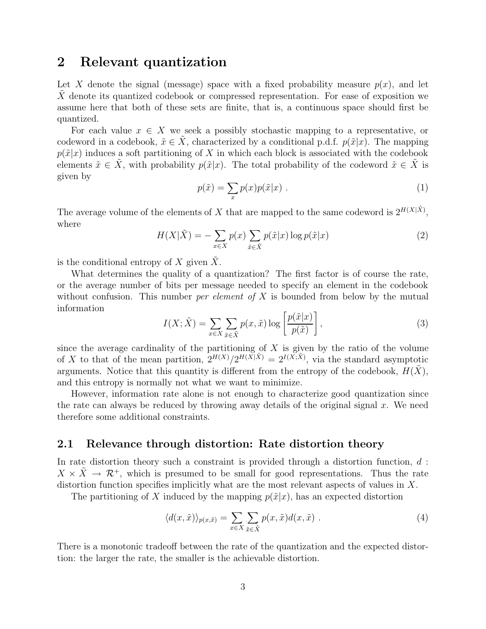## **2 Relevant quantization**

Let X denote the signal (message) space with a fixed probability measure  $p(x)$ , and let  $X$  denote its quantized codebook or compressed representation. For ease of exposition we assume here that both of these sets are finite, that is, a continuous space should first be quantized.

For each value  $x \in X$  we seek a possibly stochastic mapping to a representative, or codeword in a codebook,  $\tilde{x} \in \tilde{X}$ , characterized by a conditional p.d.f.  $p(\tilde{x}|x)$ . The mapping  $p(\tilde{x}|x)$  induces a soft partitioning of X in which each block is associated with the codebook elements  $\tilde{x} \in X$ , with probability  $p(\tilde{x}|x)$ . The total probability of the codeword  $\tilde{x} \in X$  is given by

$$
p(\tilde{x}) = \sum_{x} p(x)p(\tilde{x}|x) . \qquad (1)
$$

The average volume of the elements of X that are mapped to the same codeword is  $2^{H(X|\tilde{X})}$ , where

$$
H(X|\tilde{X}) = -\sum_{x \in X} p(x) \sum_{\tilde{x} \in \tilde{X}} p(\tilde{x}|x) \log p(\tilde{x}|x)
$$
 (2)

is the conditional entropy of X given  $\tilde{X}$ .

What determines the quality of a quantization? The first factor is of course the rate, or the average number of bits per message needed to specify an element in the codebook without confusion. This number *per element of*  $X$  is bounded from below by the mutual information

$$
I(X; \tilde{X}) = \sum_{x \in X} \sum_{\tilde{x} \in \tilde{X}} p(x, \tilde{x}) \log \left[ \frac{p(\tilde{x}|x)}{p(\tilde{x})} \right],
$$
 (3)

since the average cardinality of the partitioning of  $X$  is given by the ratio of the volume of X to that of the mean partition,  $2^{H(X)}/2^{H(X|\tilde{X})} = 2^{I(X,\tilde{X})}$ , via the standard asymptotic arguments. Notice that this quantity is different from the entropy of the codebook,  $H(X)$ , and this entropy is normally not what we want to minimize.

However, information rate alone is not enough to characterize good quantization since the rate can always be reduced by throwing away details of the original signal  $x$ . We need therefore some additional constraints.

#### **2.1 Relevance through distortion: Rate distortion theory**

In rate distortion theory such a constraint is provided through a distortion function,  $d$ :  $X \times \tilde{X} \to \mathcal{R}^+$ , which is presumed to be small for good representations. Thus the rate distortion function specifies implicitly what are the most relevant aspects of values in X.

The partitioning of X induced by the mapping  $p(\tilde{x}|x)$ , has an expected distortion

$$
\langle d(x,\tilde{x}) \rangle_{p(x,\tilde{x})} = \sum_{x \in X} \sum_{\tilde{x} \in \tilde{X}} p(x,\tilde{x}) d(x,\tilde{x}) . \tag{4}
$$

There is a monotonic tradeoff between the rate of the quantization and the expected distortion: the larger the rate, the smaller is the achievable distortion.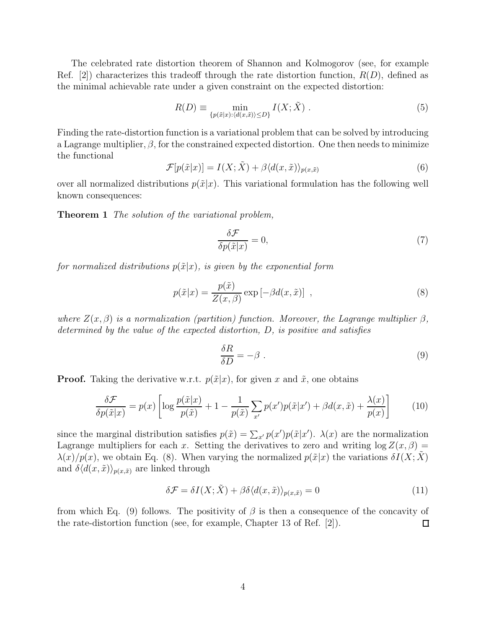The celebrated rate distortion theorem of Shannon and Kolmogorov (see, for example Ref. [2]) characterizes this tradeoff through the rate distortion function,  $R(D)$ , defined as the minimal achievable rate under a given constraint on the expected distortion:

$$
R(D) \equiv \min_{\{p(\tilde{x}|x): \langle d(x,\tilde{x}) \rangle \le D\}} I(X; \tilde{X}) . \tag{5}
$$

Finding the rate-distortion function is a variational problem that can be solved by introducing a Lagrange multiplier,  $\beta$ , for the constrained expected distortion. One then needs to minimize the functional

$$
\mathcal{F}[p(\tilde{x}|x)] = I(X; \tilde{X}) + \beta \langle d(x, \tilde{x}) \rangle_{p(x, \tilde{x})}
$$
\n(6)

over all normalized distributions  $p(\tilde{x}|x)$ . This variational formulation has the following well known consequences:

**Theorem 1** The solution of the variational problem,

$$
\frac{\delta \mathcal{F}}{\delta p(\tilde{x}|x)} = 0,\t\t(7)
$$

for normalized distributions  $p(\tilde{x}|x)$ , is given by the exponential form

$$
p(\tilde{x}|x) = \frac{p(\tilde{x})}{Z(x,\beta)} \exp\left[-\beta d(x,\tilde{x})\right] \tag{8}
$$

where  $Z(x, \beta)$  is a normalization (partition) function. Moreover, the Lagrange multiplier  $\beta$ , determined by the value of the expected distortion, D, is positive and satisfies

$$
\frac{\delta R}{\delta D} = -\beta \tag{9}
$$

**Proof.** Taking the derivative w.r.t.  $p(\tilde{x}|x)$ , for given x and  $\tilde{x}$ , one obtains

$$
\frac{\delta \mathcal{F}}{\delta p(\tilde{x}|x)} = p(x) \left[ \log \frac{p(\tilde{x}|x)}{p(\tilde{x})} + 1 - \frac{1}{p(\tilde{x})} \sum_{x'} p(x')p(\tilde{x}|x') + \beta d(x, \tilde{x}) + \frac{\lambda(x)}{p(x)} \right] \tag{10}
$$

since the marginal distribution satisfies  $p(\tilde{x}) = \sum_{x'} p(x')p(\tilde{x}|x')$ .  $\lambda(x)$  are the normalization Lagrange multipliers for each x. Setting the derivatives to zero and writing  $\log Z(x, \beta) =$  $\lambda(x)/p(x)$ , we obtain Eq. (8). When varying the normalized  $p(\tilde{x}|x)$  the variations  $\delta I(X;X)$ and  $\delta \langle d(x, \tilde{x}) \rangle_{p(x, \tilde{x})}$  are linked through

$$
\delta \mathcal{F} = \delta I(X; \tilde{X}) + \beta \delta \langle d(x, \tilde{x}) \rangle_{p(x, \tilde{x})} = 0 \tag{11}
$$

from which Eq. (9) follows. The positivity of  $\beta$  is then a consequence of the concavity of the rate-distortion function (see, for example, Chapter 13 of Ref. [2]).  $\Box$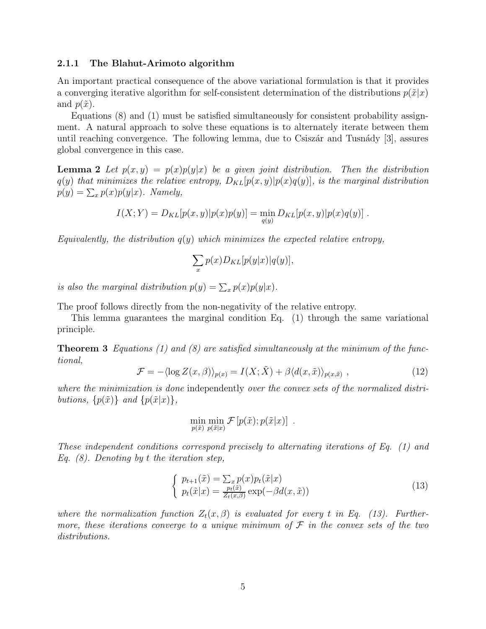#### **2.1.1 The Blahut-Arimoto algorithm**

An important practical consequence of the above variational formulation is that it provides a converging iterative algorithm for self-consistent determination of the distributions  $p(\tilde{x}|x)$ and  $p(\tilde{x})$ .

Equations (8) and (1) must be satisfied simultaneously for consistent probability assignment. A natural approach to solve these equations is to alternately iterate between them until reaching convergence. The following lemma, due to Csiszár and Tusnády  $[3]$ , assures global convergence in this case.

**Lemma 2** Let  $p(x, y) = p(x)p(y|x)$  be a given joint distribution. Then the distribution  $q(y)$  that minimizes the relative entropy,  $D_{KL}[p(x,y)|p(x)q(y)]$ , is the marginal distribution  $p(y) = \sum_{x} p(x)p(y|x)$ . Namely,

$$
I(X;Y) = D_{KL}[p(x,y)|p(x)p(y)] = \min_{q(y)} D_{KL}[p(x,y)|p(x)q(y)].
$$

Equivalently, the distribution  $q(y)$  which minimizes the expected relative entropy,

$$
\sum_{x} p(x) D_{KL}[p(y|x)|q(y)],
$$

is also the marginal distribution  $p(y) = \sum_x p(x)p(y|x)$ .

The proof follows directly from the non-negativity of the relative entropy.

This lemma guarantees the marginal condition Eq. (1) through the same variational principle.

**Theorem 3** Equations (1) and (8) are satisfied simultaneously at the minimum of the functional,

$$
\mathcal{F} = -\langle \log Z(x,\beta) \rangle_{p(x)} = I(X;\tilde{X}) + \beta \langle d(x,\tilde{x}) \rangle_{p(x,\tilde{x})}, \qquad (12)
$$

where the minimization is done independently over the convex sets of the normalized distributions,  $\{p(\tilde{x})\}\$ and  $\{p(\tilde{x}|x)\}\$ ,

$$
\min_{p(\tilde{x})} \min_{p(\tilde{x}|x)} \mathcal{F}[p(\tilde{x}); p(\tilde{x}|x)] .
$$

These independent conditions correspond precisely to alternating iterations of Eq. (1) and Eq.  $(8)$ . Denoting by t the iteration step,

$$
\begin{cases}\n p_{t+1}(\tilde{x}) = \sum_{x} p(x) p_t(\tilde{x}|x) \\
 p_t(\tilde{x}|x) = \frac{p_t(\tilde{x})}{Z_t(x,\beta)} \exp(-\beta d(x,\tilde{x}))\n\end{cases} \tag{13}
$$

where the normalization function  $Z_t(x, \beta)$  is evaluated for every t in Eq. (13). Furthermore, these iterations converge to a unique minimum of  $\mathcal F$  in the convex sets of the two distributions.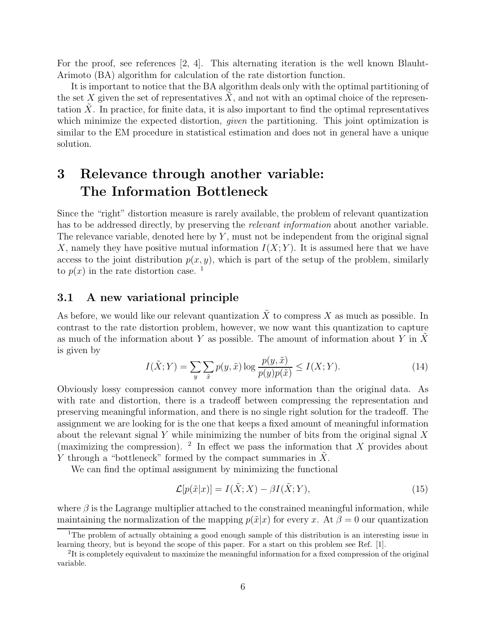For the proof, see references [2, 4]. This alternating iteration is the well known Blauht-Arimoto (BA) algorithm for calculation of the rate distortion function.

It is important to notice that the BA algorithm deals only with the optimal partitioning of the set X given the set of representatives  $X$ , and not with an optimal choice of the representation  $X$ . In practice, for finite data, it is also important to find the optimal representatives which minimize the expected distortion, *given* the partitioning. This joint optimization is similar to the EM procedure in statistical estimation and does not in general have a unique solution.

# **3 Relevance through another variable: The Information Bottleneck**

Since the "right" distortion measure is rarely available, the problem of relevant quantization has to be addressed directly, by preserving the *relevant information* about another variable. The relevance variable, denoted here by  $Y$ , must not be independent from the original signal X, namely they have positive mutual information  $I(X; Y)$ . It is assumed here that we have access to the joint distribution  $p(x, y)$ , which is part of the setup of the problem, similarly to  $p(x)$  in the rate distortion case.<sup>1</sup>

### **3.1 A new variational principle**

As before, we would like our relevant quantization  $\tilde{X}$  to compress X as much as possible. In contrast to the rate distortion problem, however, we now want this quantization to capture as much of the information about Y as possible. The amount of information about Y in X is given by

$$
I(\tilde{X};Y) = \sum_{y} \sum_{\tilde{x}} p(y,\tilde{x}) \log \frac{p(y,\tilde{x})}{p(y)p(\tilde{x})} \le I(X;Y). \tag{14}
$$

Obviously lossy compression cannot convey more information than the original data. As with rate and distortion, there is a tradeoff between compressing the representation and preserving meaningful information, and there is no single right solution for the tradeoff. The assignment we are looking for is the one that keeps a fixed amount of meaningful information about the relevant signal Y while minimizing the number of bits from the original signal  $X$ (maximizing the compression). <sup>2</sup> In effect we pass the information that X provides about Y through a "bottleneck" formed by the compact summaries in  $X$ .

We can find the optimal assignment by minimizing the functional

$$
\mathcal{L}[p(\tilde{x}|x)] = I(\tilde{X};X) - \beta I(\tilde{X};Y),\tag{15}
$$

where  $\beta$  is the Lagrange multiplier attached to the constrained meaningful information, while maintaining the normalization of the mapping  $p(\tilde{x}|x)$  for every x. At  $\beta = 0$  our quantization

<sup>&</sup>lt;sup>1</sup>The problem of actually obtaining a good enough sample of this distribution is an interesting issue in learning theory, but is beyond the scope of this paper. For a start on this problem see Ref. [1].

<sup>&</sup>lt;sup>2</sup>It is completely equivalent to maximize the meaningful information for a fixed compression of the original variable.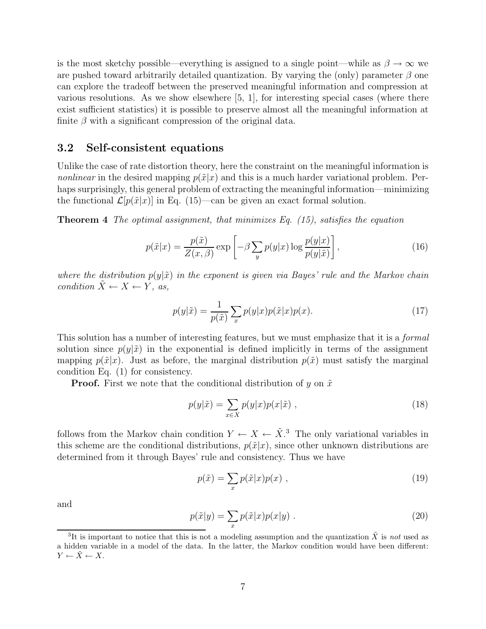is the most sketchy possible—everything is assigned to a single point—while as  $\beta \to \infty$  we are pushed toward arbitrarily detailed quantization. By varying the (only) parameter  $\beta$  one can explore the tradeoff between the preserved meaningful information and compression at various resolutions. As we show elsewhere  $[5, 1]$ , for interesting special cases (where there exist sufficient statistics) it is possible to preserve almost all the meaningful information at finite  $\beta$  with a significant compression of the original data.

#### **3.2 Self-consistent equations**

Unlike the case of rate distortion theory, here the constraint on the meaningful information is nonlinear in the desired mapping  $p(\tilde{x}|x)$  and this is a much harder variational problem. Perhaps surprisingly, this general problem of extracting the meaningful information—minimizing the functional  $\mathcal{L}[p(\tilde{x}|x)]$  in Eq. (15)—can be given an exact formal solution.

**Theorem 4** The optimal assignment, that minimizes Eq. (15), satisfies the equation

$$
p(\tilde{x}|x) = \frac{p(\tilde{x})}{Z(x,\beta)} \exp\left[-\beta \sum_{y} p(y|x) \log \frac{p(y|x)}{p(y|\tilde{x})}\right],
$$
\n(16)

where the distribution  $p(y|\tilde{x})$  in the exponent is given via Bayes' rule and the Markov chain condition  $X \leftarrow X \leftarrow Y$ , as,

$$
p(y|\tilde{x}) = \frac{1}{p(\tilde{x})} \sum_{x} p(y|x) p(\tilde{x}|x) p(x).
$$
 (17)

This solution has a number of interesting features, but we must emphasize that it is a *formal* solution since  $p(y|\tilde{x})$  in the exponential is defined implicitly in terms of the assignment mapping  $p(\tilde{x}|x)$ . Just as before, the marginal distribution  $p(\tilde{x})$  must satisfy the marginal condition Eq. (1) for consistency.

**Proof.** First we note that the conditional distribution of y on  $\tilde{x}$ 

$$
p(y|\tilde{x}) = \sum_{x \in X} p(y|x)p(x|\tilde{x}), \qquad (18)
$$

follows from the Markov chain condition  $Y \leftarrow \tilde{X}$ . The only variational variables in this scheme are the conditional distributions,  $p(\tilde{x}|x)$ , since other unknown distributions are determined from it through Bayes' rule and consistency. Thus we have

$$
p(\tilde{x}) = \sum_{x} p(\tilde{x}|x)p(x) , \qquad (19)
$$

and

$$
p(\tilde{x}|y) = \sum_{x} p(\tilde{x}|x)p(x|y) . \qquad (20)
$$

<sup>&</sup>lt;sup>3</sup>It is important to notice that this is not a modeling assumption and the quantization  $\tilde{X}$  is not used as a hidden variable in a model of the data. In the latter, the Markov condition would have been different:  $Y \leftarrow \tilde{X} \leftarrow X.$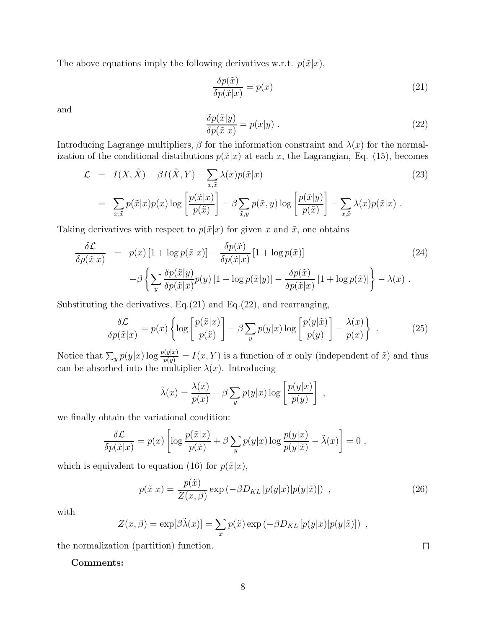The above equations imply the following derivatives w.r.t.  $p(\tilde{x}|x)$ ,

$$
\frac{\delta p(\tilde{x})}{\delta p(\tilde{x}|x)} = p(x) \tag{21}
$$

and

$$
\frac{\delta p(\tilde{x}|y)}{\delta p(\tilde{x}|x)} = p(x|y) . \tag{22}
$$

Introducing Lagrange multipliers,  $\beta$  for the information constraint and  $\lambda(x)$  for the normalization of the conditional distributions  $p(\tilde{x}|x)$  at each x, the Lagrangian, Eq. (15), becomes

$$
\mathcal{L} = I(X, \tilde{X}) - \beta I(\tilde{X}, Y) - \sum_{x, \tilde{x}} \lambda(x) p(\tilde{x}|x)
$$
\n
$$
= \sum_{x, \tilde{x}} p(\tilde{x}|x) p(x) \log \left[ \frac{p(\tilde{x}|x)}{p(\tilde{x})} \right] - \beta \sum_{\tilde{x}, y} p(\tilde{x}, y) \log \left[ \frac{p(\tilde{x}|y)}{p(\tilde{x})} \right] - \sum_{x, \tilde{x}} \lambda(x) p(\tilde{x}|x) .
$$
\n(23)

Taking derivatives with respect to  $p(\tilde{x}|x)$  for given x and  $\tilde{x}$ , one obtains

$$
\frac{\delta \mathcal{L}}{\delta p(\tilde{x}|x)} = p(x) \left[ 1 + \log p(\tilde{x}|x) \right] - \frac{\delta p(\tilde{x})}{\delta p(\tilde{x}|x)} \left[ 1 + \log p(\tilde{x}) \right] \tag{24}
$$
\n
$$
-\beta \left\{ \sum_{y} \frac{\delta p(\tilde{x}|y)}{\delta p(\tilde{x}|x)} p(y) \left[ 1 + \log p(\tilde{x}|y) \right] - \frac{\delta p(\tilde{x})}{\delta p(\tilde{x}|x)} \left[ 1 + \log p(\tilde{x}) \right] \right\} - \lambda(x) \,.
$$

Substituting the derivatives,  $Eq.(21)$  and  $Eq.(22)$ , and rearranging,

$$
\frac{\delta \mathcal{L}}{\delta p(\tilde{x}|x)} = p(x) \left\{ \log \left[ \frac{p(\tilde{x}|x)}{p(\tilde{x})} \right] - \beta \sum_{y} p(y|x) \log \left[ \frac{p(y|\tilde{x})}{p(y)} \right] - \frac{\lambda(x)}{p(x)} \right\} \tag{25}
$$

Notice that  $\sum_{y} p(y|x) \log \frac{p(y|x)}{p(y)} = I(x, Y)$  is a function of x only (independent of  $\tilde{x}$ ) and thus can be absorbed into the multiplier  $\lambda(x)$ . Introducing

$$
\tilde{\lambda}(x) = \frac{\lambda(x)}{p(x)} - \beta \sum_{y} p(y|x) \log \left[ \frac{p(y|x)}{p(y)} \right],
$$

we finally obtain the variational condition:

$$
\frac{\delta \mathcal{L}}{\delta p(\tilde{x}|x)} = p(x) \left[ \log \frac{p(\tilde{x}|x)}{p(\tilde{x})} + \beta \sum_{y} p(y|x) \log \frac{p(y|x)}{p(y|\tilde{x})} - \tilde{\lambda}(x) \right] = 0,
$$

which is equivalent to equation (16) for  $p(\tilde{x}|x)$ ,

$$
p(\tilde{x}|x) = \frac{p(\tilde{x})}{Z(x,\beta)} \exp(-\beta D_{KL}[p(y|x)|p(y|\tilde{x})]) ,
$$
 (26)

with

$$
Z(x,\beta) = \exp[\beta \tilde{\lambda}(x)] = \sum_{\tilde{x}} p(\tilde{x}) \exp(-\beta D_{KL} [p(y|x)|p(y|\tilde{x})]) ,
$$

the normalization (partition) function.

### **Comments:**

 $\Box$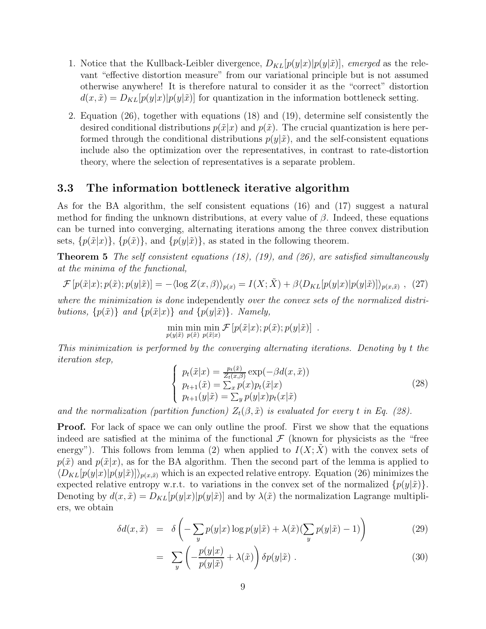- 1. Notice that the Kullback-Leibler divergence,  $D_{KL}[p(y|x)|p(y|\tilde{x})]$ , emerged as the relevant "effective distortion measure" from our variational principle but is not assumed otherwise anywhere! It is therefore natural to consider it as the "correct" distortion  $d(x, \tilde{x}) = D_{KL}[p(y|x)|p(y|\tilde{x})]$  for quantization in the information bottleneck setting.
- 2. Equation (26), together with equations (18) and (19), determine self consistently the desired conditional distributions  $p(\tilde{x}|x)$  and  $p(\tilde{x})$ . The crucial quantization is here performed through the conditional distributions  $p(y|\tilde{x})$ , and the self-consistent equations include also the optimization over the representatives, in contrast to rate-distortion theory, where the selection of representatives is a separate problem.

#### **3.3 The information bottleneck iterative algorithm**

As for the BA algorithm, the self consistent equations (16) and (17) suggest a natural method for finding the unknown distributions, at every value of  $\beta$ . Indeed, these equations can be turned into converging, alternating iterations among the three convex distribution sets,  $\{p(\tilde{x}|x)\}\$ ,  $\{p(\tilde{x})\}\$ , and  $\{p(y|\tilde{x})\}\$ , as stated in the following theorem.

**Theorem 5** The self consistent equations (18), (19), and (26), are satisfied simultaneously at the minima of the functional,

$$
\mathcal{F}\left[p(\tilde{x}|x);p(\tilde{x});p(y|\tilde{x})\right] = -\langle \log Z(x,\beta) \rangle_{p(x)} = I(X;\tilde{X}) + \beta \langle D_{KL}[p(y|x)|p(y|\tilde{x})] \rangle_{p(x,\tilde{x})}, (27)
$$

where the minimization is done independently over the convex sets of the normalized distributions,  $\{p(\tilde{x})\}$  and  $\{p(\tilde{x}|x)\}$  and  $\{p(y|\tilde{x})\}$ . Namely,

$$
\min_{p(y|\tilde{x})} \min_{p(\tilde{x})} \min_{p(\tilde{x}|x)} \mathcal{F}\left[p(\tilde{x}|x); p(\tilde{x}); p(y|\tilde{x})\right] .
$$

This minimization is performed by the converging alternating iterations. Denoting by t the iteration step,

$$
\begin{cases}\np_t(\tilde{x}|x) = \frac{p_t(\tilde{x})}{Z_t(x,\beta)} \exp(-\beta d(x,\tilde{x})) \\
p_{t+1}(\tilde{x}) = \sum_x p(x)p_t(\tilde{x}|x) \\
p_{t+1}(y|\tilde{x}) = \sum_y p(y|x)p_t(x|\tilde{x})\n\end{cases} \tag{28}
$$

and the normalization (partition function)  $Z_t(\beta, \tilde{x})$  is evaluated for every t in Eq. (28).

**Proof.** For lack of space we can only outline the proof. First we show that the equations indeed are satisfied at the minima of the functional  $\mathcal F$  (known for physicists as the "free energy"). This follows from lemma (2) when applied to  $I(X; X)$  with the convex sets of  $p(\tilde{x})$  and  $p(\tilde{x}|x)$ , as for the BA algorithm. Then the second part of the lemma is applied to  $\langle D_{KL}[p(y|x)|p(y|\tilde{x})]\rangle_{p(x,\tilde{x})}$  which is an expected relative entropy. Equation (26) minimizes the expected relative entropy w.r.t. to variations in the convex set of the normalized  $\{p(y|\tilde{x})\}.$ Denoting by  $d(x, \tilde{x}) = D_{KL}[p(y|x)|p(y|\tilde{x})]$  and by  $\lambda(\tilde{x})$  the normalization Lagrange multipliers, we obtain

$$
\delta d(x, \tilde{x}) = \delta \left( -\sum_{y} p(y|x) \log p(y|\tilde{x}) + \lambda(\tilde{x}) (\sum_{y} p(y|\tilde{x}) - 1) \right) \tag{29}
$$

$$
= \sum_{y} \left( -\frac{p(y|x)}{p(y|\tilde{x})} + \lambda(\tilde{x}) \right) \delta p(y|\tilde{x}) . \tag{30}
$$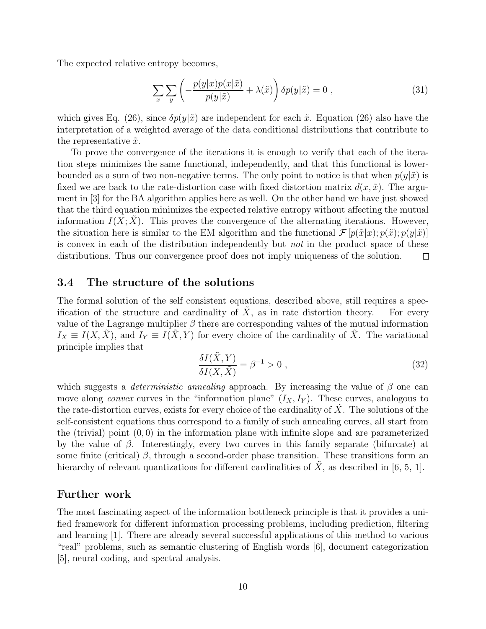The expected relative entropy becomes,

$$
\sum_{x} \sum_{y} \left( -\frac{p(y|x)p(x|\tilde{x})}{p(y|\tilde{x})} + \lambda(\tilde{x}) \right) \delta p(y|\tilde{x}) = 0 , \qquad (31)
$$

which gives Eq. (26), since  $\delta p(y|\tilde{x})$  are independent for each  $\tilde{x}$ . Equation (26) also have the interpretation of a weighted average of the data conditional distributions that contribute to the representative  $\tilde{x}$ .

To prove the convergence of the iterations it is enough to verify that each of the iteration steps minimizes the same functional, independently, and that this functional is lowerbounded as a sum of two non-negative terms. The only point to notice is that when  $p(y|\tilde{x})$  is fixed we are back to the rate-distortion case with fixed distortion matrix  $d(x, \tilde{x})$ . The argument in [3] for the BA algorithm applies here as well. On the other hand we have just showed that the third equation minimizes the expected relative entropy without affecting the mutual information  $I(X; X)$ . This proves the convergence of the alternating iterations. However, the situation here is similar to the EM algorithm and the functional  $\mathcal{F}[p(\tilde{x}|x); p(\tilde{y}|\tilde{x})]$ is convex in each of the distribution independently but not in the product space of these distributions. Thus our convergence proof does not imply uniqueness of the solution.  $\Box$ 

#### **3.4 The structure of the solutions**

The formal solution of the self consistent equations, described above, still requires a specification of the structure and cardinality of  $X$ , as in rate distortion theory. For every value of the Lagrange multiplier  $\beta$  there are corresponding values of the mutual information  $I_X \equiv I(X, \tilde{X})$ , and  $I_Y \equiv I(\tilde{X}, Y)$  for every choice of the cardinality of  $\tilde{X}$ . The variational principle implies that

$$
\frac{\delta I(\tilde{X}, Y)}{\delta I(X, \tilde{X})} = \beta^{-1} > 0 , \qquad (32)
$$

which suggests a *deterministic annealing* approach. By increasing the value of  $\beta$  one can move along *convex* curves in the "information plane"  $(I_X, I_Y)$ . These curves, analogous to the rate-distortion curves, exists for every choice of the cardinality of  $X$ . The solutions of the self-consistent equations thus correspond to a family of such annealing curves, all start from the (trivial) point  $(0, 0)$  in the information plane with infinite slope and are parameterized by the value of  $\beta$ . Interestingly, every two curves in this family separate (bifurcate) at some finite (critical)  $\beta$ , through a second-order phase transition. These transitions form an hierarchy of relevant quantizations for different cardinalities of  $\hat{X}$ , as described in [6, 5, 1].

### **Further work**

The most fascinating aspect of the information bottleneck principle is that it provides a unified framework for different information processing problems, including prediction, filtering and learning [1]. There are already several successful applications of this method to various "real" problems, such as semantic clustering of English words [6], document categorization [5], neural coding, and spectral analysis.